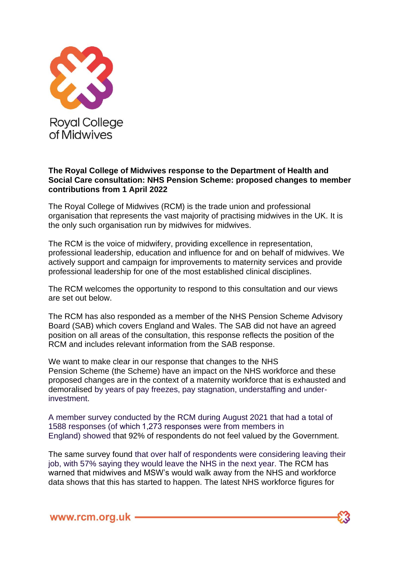

## **The Royal College of Midwives response to the Department of Health and Social Care consultation: NHS Pension Scheme: proposed changes to member contributions from 1 April 2022**

The Royal College of Midwives (RCM) is the trade union and professional organisation that represents the vast majority of practising midwives in the UK. It is the only such organisation run by midwives for midwives.

The RCM is the voice of midwifery, providing excellence in representation, professional leadership, education and influence for and on behalf of midwives. We actively support and campaign for improvements to maternity services and provide professional leadership for one of the most established clinical disciplines.

The RCM welcomes the opportunity to respond to this consultation and our views are set out below.

The RCM has also responded as a member of the NHS Pension Scheme Advisory Board (SAB) which covers England and Wales. The SAB did not have an agreed position on all areas of the consultation, this response reflects the position of the RCM and includes relevant information from the SAB response.

We want to make clear in our response that changes to the NHS Pension Scheme (the Scheme) have an impact on the NHS workforce and these proposed changes are in the context of a maternity workforce that is exhausted and demoralised by years of pay freezes, pay stagnation, understaffing and underinvestment.

A member survey conducted by the RCM during August 2021 that had a total of 1588 responses (of which 1,273 responses were from members in England) showed that 92% of respondents do not feel valued by the Government.

The same survey found that over half of respondents were considering leaving their job, with 57% saying they would leave the NHS in the next year. The RCM has warned that midwives and MSW's would walk away from the NHS and workforce data shows that this has started to happen. The latest NHS workforce figures for

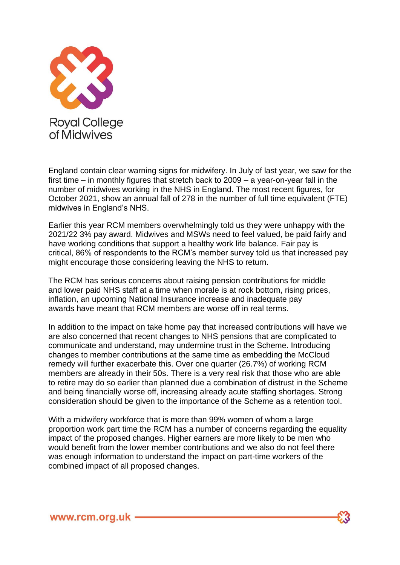

England contain clear warning signs for midwifery. In July of last year, we saw for the first time – in monthly figures that stretch back to 2009 – a year-on-year fall in the number of midwives working in the NHS in England. The most recent figures, for October 2021, show an annual fall of 278 in the number of full time equivalent (FTE) midwives in England's NHS.

Earlier this year RCM members overwhelmingly told us they were unhappy with the 2021/22 3% pay award. Midwives and MSWs need to feel valued, be paid fairly and have working conditions that support a healthy work life balance. Fair pay is critical, 86% of respondents to the RCM's member survey told us that increased pay might encourage those considering leaving the NHS to return.

The RCM has serious concerns about raising pension contributions for middle and lower paid NHS staff at a time when morale is at rock bottom, rising prices, inflation, an upcoming National Insurance increase and inadequate pay awards have meant that RCM members are worse off in real terms.

In addition to the impact on take home pay that increased contributions will have we are also concerned that recent changes to NHS pensions that are complicated to communicate and understand, may undermine trust in the Scheme. Introducing changes to member contributions at the same time as embedding the McCloud remedy will further exacerbate this. Over one quarter (26.7%) of working RCM members are already in their 50s. There is a very real risk that those who are able to retire may do so earlier than planned due a combination of distrust in the Scheme and being financially worse off, increasing already acute staffing shortages. Strong consideration should be given to the importance of the Scheme as a retention tool.

With a midwifery workforce that is more than 99% women of whom a large proportion work part time the RCM has a number of concerns regarding the equality impact of the proposed changes. Higher earners are more likely to be men who would benefit from the lower member contributions and we also do not feel there was enough information to understand the impact on part-time workers of the combined impact of all proposed changes.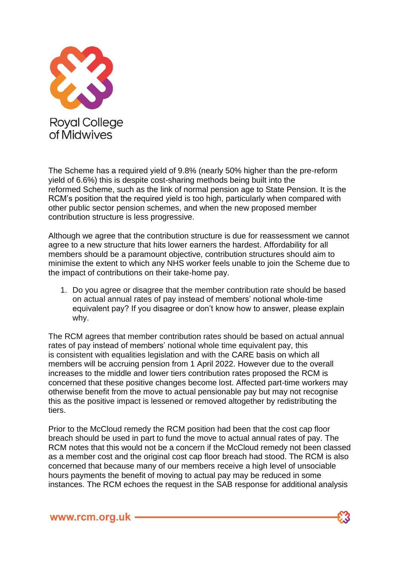

The Scheme has a required yield of 9.8% (nearly 50% higher than the pre-reform yield of 6.6%) this is despite cost-sharing methods being built into the reformed Scheme, such as the link of normal pension age to State Pension. It is the RCM's position that the required yield is too high, particularly when compared with other public sector pension schemes, and when the new proposed member contribution structure is less progressive.

Although we agree that the contribution structure is due for reassessment we cannot agree to a new structure that hits lower earners the hardest. Affordability for all members should be a paramount objective, contribution structures should aim to minimise the extent to which any NHS worker feels unable to join the Scheme due to the impact of contributions on their take-home pay.

1. Do you agree or disagree that the member contribution rate should be based on actual annual rates of pay instead of members' notional whole-time equivalent pay? If you disagree or don't know how to answer, please explain why.

The RCM agrees that member contribution rates should be based on actual annual rates of pay instead of members' notional whole time equivalent pay, this is consistent with equalities legislation and with the CARE basis on which all members will be accruing pension from 1 April 2022. However due to the overall increases to the middle and lower tiers contribution rates proposed the RCM is concerned that these positive changes become lost. Affected part-time workers may otherwise benefit from the move to actual pensionable pay but may not recognise this as the positive impact is lessened or removed altogether by redistributing the tiers.

Prior to the McCloud remedy the RCM position had been that the cost cap floor breach should be used in part to fund the move to actual annual rates of pay. The RCM notes that this would not be a concern if the McCloud remedy not been classed as a member cost and the original cost cap floor breach had stood. The RCM is also concerned that because many of our members receive a high level of unsociable hours payments the benefit of moving to actual pay may be reduced in some instances. The RCM echoes the request in the SAB response for additional analysis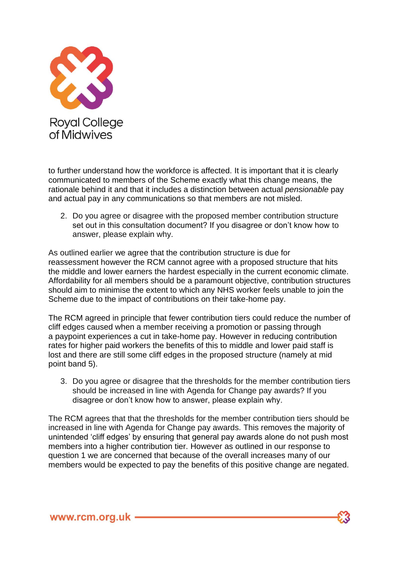

to further understand how the workforce is affected. It is important that it is clearly communicated to members of the Scheme exactly what this change means, the rationale behind it and that it includes a distinction between actual *pensionable* pay and actual pay in any communications so that members are not misled.

2. Do you agree or disagree with the proposed member contribution structure set out in this consultation document? If you disagree or don't know how to answer, please explain why.

As outlined earlier we agree that the contribution structure is due for reassessment however the RCM cannot agree with a proposed structure that hits the middle and lower earners the hardest especially in the current economic climate. Affordability for all members should be a paramount objective, contribution structures should aim to minimise the extent to which any NHS worker feels unable to join the Scheme due to the impact of contributions on their take-home pay.

The RCM agreed in principle that fewer contribution tiers could reduce the number of cliff edges caused when a member receiving a promotion or passing through a paypoint experiences a cut in take-home pay. However in reducing contribution rates for higher paid workers the benefits of this to middle and lower paid staff is lost and there are still some cliff edges in the proposed structure (namely at mid point band 5).

3. Do you agree or disagree that the thresholds for the member contribution tiers should be increased in line with Agenda for Change pay awards? If you disagree or don't know how to answer, please explain why.

The RCM agrees that that the thresholds for the member contribution tiers should be increased in line with Agenda for Change pay awards. This removes the majority of unintended 'cliff edges' by ensuring that general pay awards alone do not push most members into a higher contribution tier. However as outlined in our response to question 1 we are concerned that because of the overall increases many of our members would be expected to pay the benefits of this positive change are negated.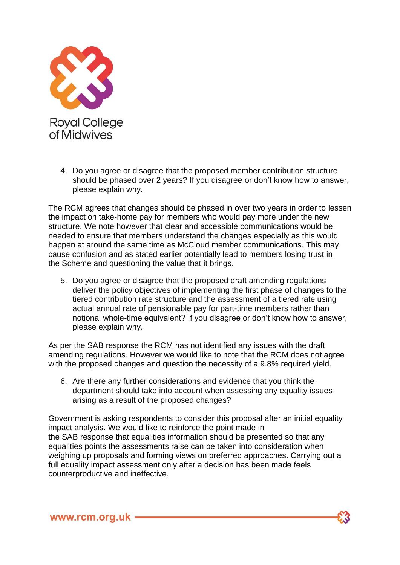

4. Do you agree or disagree that the proposed member contribution structure should be phased over 2 years? If you disagree or don't know how to answer, please explain why.

The RCM agrees that changes should be phased in over two years in order to lessen the impact on take-home pay for members who would pay more under the new structure. We note however that clear and accessible communications would be needed to ensure that members understand the changes especially as this would happen at around the same time as McCloud member communications. This may cause confusion and as stated earlier potentially lead to members losing trust in the Scheme and questioning the value that it brings.

5. Do you agree or disagree that the proposed draft amending regulations deliver the policy objectives of implementing the first phase of changes to the tiered contribution rate structure and the assessment of a tiered rate using actual annual rate of pensionable pay for part-time members rather than notional whole-time equivalent? If you disagree or don't know how to answer, please explain why.

As per the SAB response the RCM has not identified any issues with the draft amending regulations. However we would like to note that the RCM does not agree with the proposed changes and question the necessity of a 9.8% required yield.

6. Are there any further considerations and evidence that you think the department should take into account when assessing any equality issues arising as a result of the proposed changes?

Government is asking respondents to consider this proposal after an initial equality impact analysis. We would like to reinforce the point made in the SAB response that equalities information should be presented so that any equalities points the assessments raise can be taken into consideration when weighing up proposals and forming views on preferred approaches. Carrying out a full equality impact assessment only after a decision has been made feels counterproductive and ineffective.